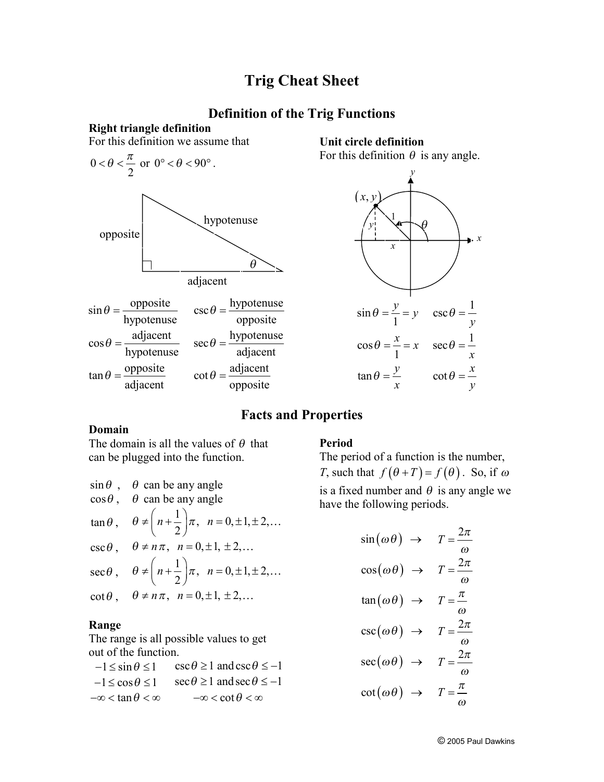## **Trig Cheat Sheet**

## **Definition of the Trig Functions**

**Right triangle definition**







## **Facts and Properties**

opposite

 $\theta =$ 

### **Domain**

adjacent

The domain is all the values of  $\theta$  that can be plugged into the function.

| $\sin \theta$ , $\theta$ can be any angle                                                       |
|-------------------------------------------------------------------------------------------------|
| $\cos\theta$ , $\theta$ can be any angle                                                        |
| $\tan \theta$ , $\theta \neq \left( n + \frac{1}{2} \right) \pi$ , $n = 0, \pm 1, \pm 2, \dots$ |
| $\csc \theta$ , $\theta \neq n\pi$ , $n = 0, \pm 1, \pm 2,$                                     |
| $\sec\theta$ , $\theta \neq \left(n+\frac{1}{2}\right)\pi$ , $n=0,\pm 1,\pm 2,$                 |
| $\cot \theta$ , $\theta \neq n\pi$ , $n = 0, \pm 1, \pm 2,$                                     |

#### **Range**

The range is all possible values to get out of the function.

 $-1 \le \sin \theta \le 1$   $\csc \theta \ge 1$  and  $\csc \theta \le -1$  $-1 \le \cos \theta \le 1$   $\sec \theta \ge 1$  and  $\sec \theta \le -1$  $-\infty < \tan \theta < \infty$   $-\infty < \cot \theta < \infty$ 

#### **Period**

The period of a function is the number, *T*, such that  $f(\theta + T) = f(\theta)$ . So, if  $\omega$ is a fixed number and  $\theta$  is any angle we have the following periods.

$$
\sin(\omega \theta) \rightarrow T = \frac{2\pi}{\omega}
$$

$$
\cos(\omega \theta) \rightarrow T = \frac{2\pi}{\omega}
$$

$$
\tan(\omega \theta) \rightarrow T = \frac{\pi}{\omega}
$$

$$
\csc(\omega \theta) \rightarrow T = \frac{2\pi}{\omega}
$$

$$
\sec(\omega \theta) \rightarrow T = \frac{2\pi}{\omega}
$$

$$
\cot(\omega \theta) \rightarrow T = \frac{\pi}{\omega}
$$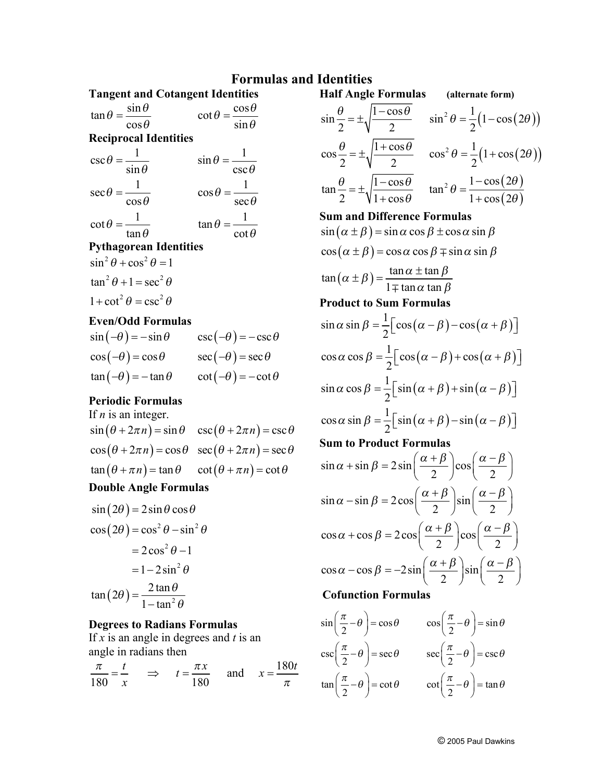## **Formulas and Identities**

| <b>Tangent and Cotangent Identities</b>         |                                                 |
|-------------------------------------------------|-------------------------------------------------|
| $\tan \theta = \frac{\sin \theta}{\cos \theta}$ | $\cot \theta = \frac{\cos \theta}{\sin \theta}$ |
|                                                 |                                                 |
| <b>Reciprocal Identities</b>                    |                                                 |
| $\csc \theta = \frac{1}{\sin \theta}$           | $\sin \theta = \frac{1}{\csc \theta}$           |
| $\sec \theta = \frac{1}{\cos \theta}$           | $\cos \theta = \frac{1}{\sec \theta}$           |
| $\cot \theta = \frac{1}{\tan \theta}$           | $\tan \theta = \frac{1}{\cot \theta}$           |
| Dythogoroon Idontities                          |                                                 |

- **Pythagorean Identities**
- $\sin^2 \theta + \cos^2 \theta = 1$  $\tan^2 \theta + 1 = \sec^2 \theta$  $1 + \cot^2 \theta = \csc^2 \theta$

## **Even/Odd Formulas**

| $\sin(-\theta) = -\sin\theta$ | $\csc(-\theta) = -\csc\theta$ |
|-------------------------------|-------------------------------|
| $\cos(-\theta) = \cos\theta$  | $\sec(-\theta) = \sec \theta$ |
| $\tan(-\theta) = -\tan\theta$ | $\cot(-\theta) = -\cot\theta$ |

### **Periodic Formulas**

If *n* is an integer.  $\sin (\theta + 2\pi n) = \sin \theta \quad \csc (\theta + 2\pi n) = \csc \theta$  $\cos(\theta + 2\pi n) = \cos\theta \quad \sec(\theta + 2\pi n) = \sec\theta$  $\tan (\theta + \pi n) = \tan \theta$   $\cot (\theta + \pi n) = \cot \theta$ 

## **Double Angle Formulas**

 $\sin (2\theta) = 2\sin\theta \cos\theta$  $\cos(2\theta) = \cos^2\theta - \sin^2\theta$  $(2\theta) = \frac{2 \tan \theta}{1 + \tan^2 \theta}$  $= 2\cos^2\theta - 1$  $= 1 - 2 \sin^2 \theta$  $\tan(2\theta) = \frac{2 \tan \theta}{2 \tan \theta}$  $1 - \tan$  $\theta$ ) =  $\frac{2 \tan \theta}{2}$  $=\frac{2 \tan \theta}{1-\tan^2 \theta}$ -

#### **Degrees to Radians Formulas**

If *x* is an angle in degrees and *t* is an angle in radians then

and  $x = \frac{180}{180}$  $180 \t x \t 180$  $t = \frac{\pi x}{\cos \theta}$  and  $x = \frac{180t}{x^2}$ *x*  $p$ *p*  $p$  *p*  $p$  *p*  $p$  *<i>p*  $\frac{t}{x}$   $\Rightarrow$   $t = \frac{\pi x}{180}$  and  $x = \frac{160}{\pi}$ 

 $\cos\frac{\theta}{2} = \pm \sqrt{\frac{1+\cos\theta}{2}} \quad \cos^2\theta = \frac{1}{2}(1+\cos(2\theta))$  $(2\theta)$  $(2\theta)$  $\tan\frac{\theta}{2} = \pm \sqrt{\frac{1-\cos\theta}{\cos\theta}}$   $\tan^2\theta = \frac{1-\cos(2\theta)}{\cos\theta}$ 2  $\sqrt{2}$  2 2 2  $\sqrt{1 + \cos \theta}$   $\sqrt{1 + \cos (2 \pi)}$  $\frac{\theta}{2} = \pm \sqrt{\frac{1 + \cos \theta}{\cos^2 \theta}}$   $\cos^2 \theta = \frac{1}{2} (1 + \cos (2\theta))$  $\frac{\theta}{2} = \pm \sqrt{\frac{1 - \cos \theta}{1 + \cos \theta}}$   $\tan^2 \theta = \frac{1 - \cos (2\theta)}{1 + \cos (2\theta)}$  $= \pm \sqrt{\frac{1-\cos\theta}{\cos\theta}}$   $\tan^2\theta = \frac{1-\cos\theta}{\cos\theta}$  $+\cos\theta$  1+ **Sum and Difference Formulas**  $\sin(\alpha \pm \beta) = \sin \alpha \cos \beta \pm \cos \alpha \sin \beta$  $\cos(\alpha \pm \beta) = \cos\alpha \cos\beta \mp \sin\alpha \sin\beta$  $(\alpha \pm \beta)$  $\tan(\alpha \pm \beta) = \frac{\tan \alpha \pm \tan \alpha}{\sin \alpha \pm \alpha}$  $1 \mp \tan \alpha$  tan  $\alpha \pm \beta$ ) =  $\frac{\tan \alpha \pm \tan \beta}{\tan \alpha}$  $\alpha$  tan  $\beta$  $\pm \beta$ ) =  $\frac{\tan \alpha \pm \pi}{\tan \alpha}$  $\mp$ **Product to Sum Formulas**  $(\alpha - \beta) - \cos(\alpha + \beta)$  $(\alpha - \beta)$  + cos  $(\alpha + \beta)$  $(\alpha + \beta)$  + sin  $(\alpha - \beta)$  $(\alpha + \beta) - \sin (\alpha - \beta)$  $\sin \alpha \sin \beta = \frac{1}{2} \left[ \cos (\alpha - \beta) - \cos \alpha \right]$ 2  $\cos \alpha \cos \beta = \frac{1}{2} \left[ \cos (\alpha - \beta) + \cos \alpha \right]$ 2  $\sin \alpha \cos \beta = \frac{1}{2} \sin (\alpha + \beta) + \sin \alpha$ 2  $\cos \alpha \sin \beta = \frac{1}{2} \sin(\alpha + \beta) - \sin \beta$ 2  $\alpha$  sin  $\beta = \frac{1}{2} \left[ \cos(\alpha - \beta) - \cos(\alpha + \beta) \right]$  $\alpha$  cos  $\beta = \frac{1}{2} \left[ \cos(\alpha - \beta) + \cos(\alpha + \beta) \right]$  $\alpha$  cos  $\beta = \frac{1}{2} \left[ \sin(\alpha + \beta) + \sin(\alpha - \beta) \right]$  $\alpha$  sin  $\beta = \frac{1}{2} \left[ \sin(\alpha + \beta) - \sin(\alpha - \beta) \right]$ **Sum to Product Formulas**  $\sin \alpha + \sin \beta = 2 \sin \left( \frac{\alpha + \beta}{2} \right) \cos \beta$ 2  $\int_{0}^{1}$  2  $\sin \alpha - \sin \beta = 2\cos \left| \frac{\alpha + \beta}{\alpha} \right| \sin \beta$ 2  $\int$  2  $\cos \alpha + \cos \beta = 2\cos \left( \frac{\alpha + \beta}{2} \right) \cos \beta$ 2  $\int$  2  $\cos \alpha - \cos \beta = -2\sin \left| \frac{\alpha + \beta}{2} \right| \sin \beta$ 2  $\int$  2  $\alpha + \sin \beta = 2 \sin \left( \frac{\alpha + \beta}{2} \right) \cos \left( \frac{\alpha - \beta}{2} \right)$  $\alpha - \sin \beta = 2 \cos \left( \frac{\alpha + \beta}{2} \right) \sin \left( \frac{\alpha - \beta}{2} \right)$  $\alpha + \cos \beta = 2 \cos \left( \frac{\alpha + \beta}{2} \right) \cos \left( \frac{\alpha - \beta}{2} \right)$  $\alpha - \cos \beta = -2\sin\left(\frac{\alpha + \beta}{2}\right)\sin\left(\frac{\alpha - \beta}{2}\right)$ 

**Half Angle Formulas (alternate form)**

2  $\sqrt{2}$  2 2

 $\sin \frac{\theta}{2} = \pm \sqrt{\frac{1 - \cos \theta}{2}}$   $\sin^2 \theta = \frac{1}{2} (1 - \cos (2\theta))$ 

 $\frac{\theta}{\epsilon} = \pm \sqrt{\frac{1-\cos\theta}{\cos\theta}}$   $\sin^2\theta = \frac{1}{2}(1-\cos(2\theta))$ 

## **Cofunction Formulas**

$$
\sin\left(\frac{\pi}{2} - \theta\right) = \cos\theta \qquad \cos\left(\frac{\pi}{2} - \theta\right) = \sin\theta
$$

$$
\csc\left(\frac{\pi}{2} - \theta\right) = \sec\theta \qquad \sec\left(\frac{\pi}{2} - \theta\right) = \csc\theta
$$

$$
\tan\left(\frac{\pi}{2} - \theta\right) = \cot\theta \qquad \cot\left(\frac{\pi}{2} - \theta\right) = \tan\theta
$$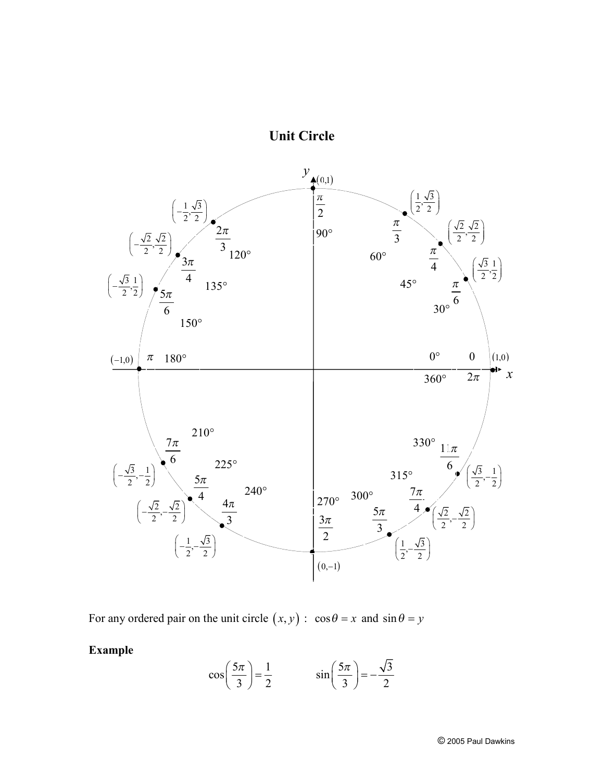



For any ordered pair on the unit circle  $(x, y)$ :  $\cos \theta = x$  and  $\sin \theta = y$ 

**Example** 

$$
\cos\left(\frac{5\pi}{3}\right) = \frac{1}{2} \qquad \sin\left(\frac{5\pi}{3}\right) = -\frac{\sqrt{3}}{2}
$$